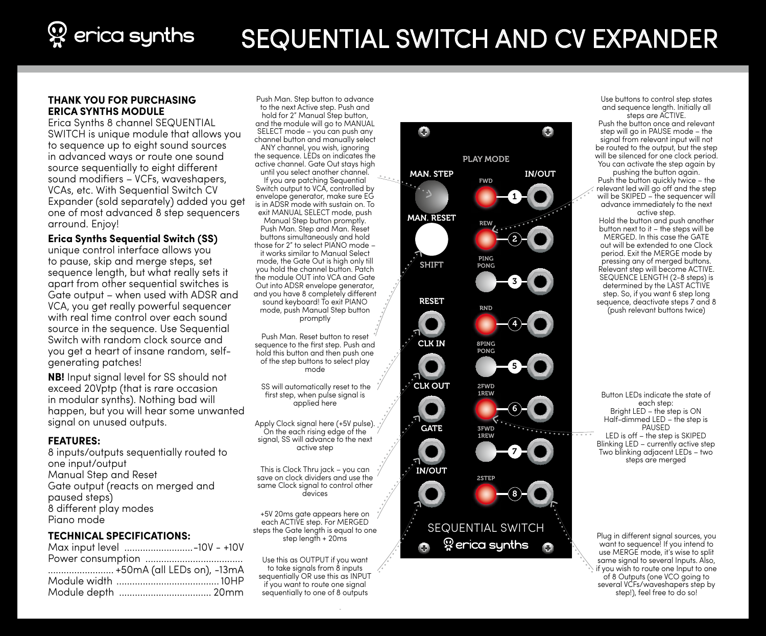# $\mathcal{D}$  erica synths SEQUENTIAL SWITCH AND CV EXPANDER

### **THANK YOU FOR PURCHASING ERICA SYNTHS MODULE**

Erica Synths 8 channel SEQUENTIAL SWITCH is unique module that allows you to sequence up to eight sound sources in advanced ways or route one sound source sequentially to eight different sound modifiers – VCFs, waveshapers, VCAs, etc. With Sequential Switch CV Expander (sold separately) added you get one of most advanced 8 step sequencers arround. Enjoy!

**Erica Synths Sequential Switch (SS)**

unique control interface allows you to pause, skip and merge steps, set sequence length, but what really sets it apart from other sequential switches is Gate output – when used with ADSR and VCA, you get really powerful sequencer with real time control over each sound source in the sequence. Use Sequential Switch with random clock source and you get a heart of insane random, selfgenerating patches!

**NB!** Input signal level for SS should not exceed 20Vptp (that is rare occasion in modular synths). Nothing bad will happen, but you will hear some unwanted signal on unused outputs.

#### **FEATURES:**

8 inputs/outputs sequentially routed to one input/output Manual Step and Reset Gate output (reacts on merged and paused steps) 8 different play modes Piano mode

### **TECHNICAL SPECIFICATIONS:**

|  | Max input level -10V - +10V |  |
|--|-----------------------------|--|
|  |                             |  |
|  | +50mA (all LEDs on), -13mA  |  |
|  |                             |  |
|  | Module depth  20mm          |  |

Push Man. Step button to advance to the next Active step. Push and hold for 2" Manual Step button. and the module will go to MANUAL SELECT mode – you can push any channel button and manually select ANY channel, you wish, ignoring the sequence. LEDs on indicates the active channel. Gate Out stays high until you select another channel. If you are patching Sequential Switch output to VCA, controlled by envelope generator, make sure EG is in ADSR mode with sustain on. To exit MANUAL SELECT mode, push Manual Step button promptly. Push Man. Step and Man. Reset buttons simultaneously and hold those for 2" to select PIANO mode – it works similar to Manual Select mode, the Gate Out is high only till you hold the channel button. Patch the module OUT into VCA and Gate Out into ADSR envelope generator, and you have 8 completely different sound keyboard! To exit PIANO mode, push Manual Step button promptly

Push Man. Reset button to reset sequence to the first step. Push and hold this button and then push one of the step buttons to select play mode

 SS will automatically reset to the first step, when pulse signal is applied here

Apply Clock signal here (+5V pulse). On the each rising edge of the signal, SS will advance to the next active step

This is Clock Thru jack – you can save on clock dividers and use the same Clock signal to control other<br>devices

+5V 20ms gate appears here on each ACTIVE step. For MERGED steps the Gate length is equal to one step length + 20ms

Use this as OUTPUT if you want to take signals from 8 inputs sequentially OR use this as INPUT if you want to route one signal sequentially to one of 8 outputs



Use buttons to control step states and sequence length. Initially all steps are ACTIVE.

Push the button once and relevant step will go in PAUSE mode – the signal from relevant input will not be routed to the output, but the step will be silenced for one clock period. You can activate the step again by pushing the button again.

Push the button quickly twice - the relevant led will go off and the step will be SKIPED – the sequencer will advance immediately to the next active step.

Hold the button and push another button next to it – the steps will be MERGED. In this case the GATE out will be extended to one Clock period. Exit the MERGE mode by pressing any of merged buttons. Relevant step will become ACTIVE. SEQUENCE LENGTH (2-8 steps) is determined by the LAST ACTIVE step. So, if you want 6 step long sequence, deactivate steps 7 and 8 (push relevant buttons twice)

Button LEDs indicate the state of each step: Bright LED – the step is ON Half-dimmed LED – the step is PAUSED LED is off – the step is SKIPED Blinking LED – currently active step Two blinking adjacent LEDs – two steps are merged

Plug in different signal sources, you want to sequence! If you intend to use MERGE mode, it's wise to split same signal to several Inputs. Also, if you wish to route one Input to one of 8 Outputs (one VCO going to several VCFs/waveshapers step by step!), feel free to do so!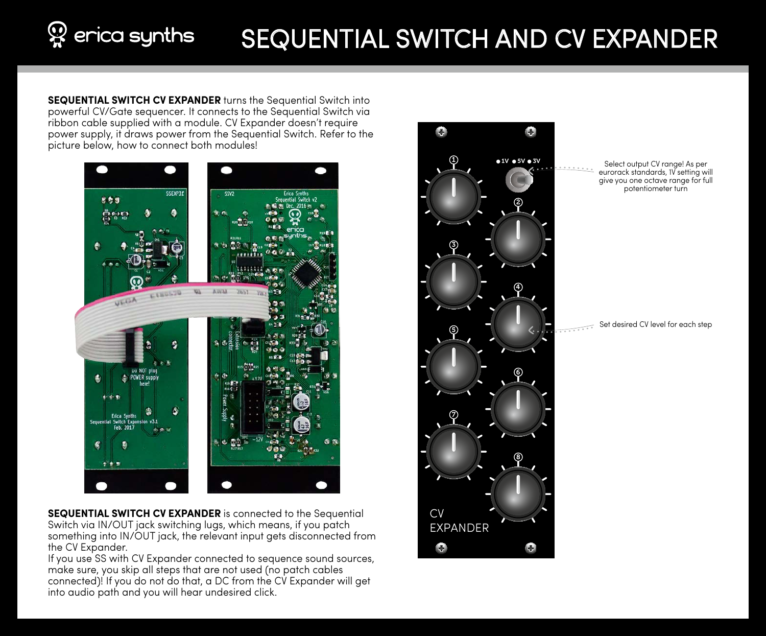# $\mathbb{Q}$  erica synths SEQUENTIAL SWITCH AND CV EXPANDER

**SEQUENTIAL SWITCH CV EXPANDER** turns the Sequential Switch into powerful CV/Gate sequencer. It connects to the Sequential Switch via ribbon cable supplied with a module. CV Expander doesn't require power supply, it draws power from the Sequential Switch. Refer to the picture below, how to connect both modules!



**SEQUENTIAL SWITCH CV EXPANDER** is connected to the Sequential Switch via IN/OUT jack switching lugs, which means, if you patch something into IN/OUT jack, the relevant input gets disconnected from the CV Expander.

If you use SS with CV Expander connected to sequence sound sources, make sure, you skip all steps that are not used (no patch cables connected)! If you do not do that, a DC from the CV Expander will get into audio path and you will hear undesired click.



Select output CV range! As per eurorack standards, 1V setting will give you one octave range for full potentiometer turn

Set desired CV level for each step